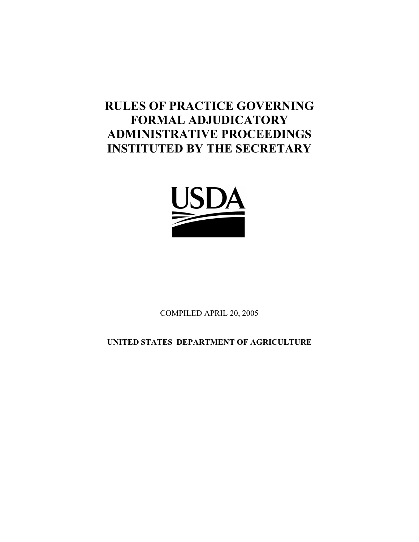# **RULES OF PRACTICE GOVERNING FORMAL ADJUDICATORY ADMINISTRATIVE PROCEEDINGS INSTITUTED BY THE SECRETARY**



COMPILED APRIL 20, 2005

**UNITED STATES DEPARTMENT OF AGRICULTURE**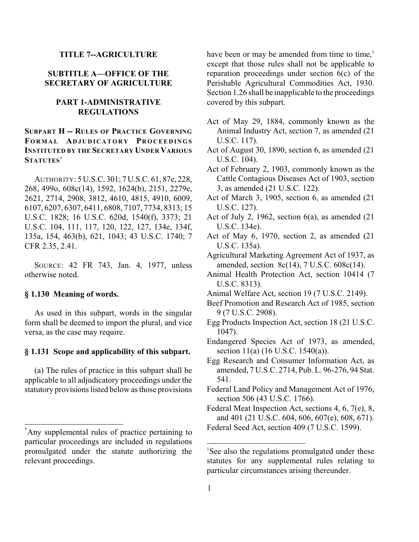#### **TITLE 7--AGRICULTURE**

## **SUBTITLE A—OFFICE OF THE SECRETARY OF AGRICULTURE**

# **PART 1-ADMINISTRATIVE REGULATIONS**

# **SUBPART H -- RULES OF PRACTICE GOVERNING FORMA L AD J UDICATORY PROCEEDINGS INSTITUTED BY THE SECRETARY UNDER VARIOUS STATUTES\***

AUTHORITY: 5 U.S.C. 301; 7 U.S.C. 61, 87e, 228, 268, 499o, 608c(14), 1592, 1624(b), 2151, 2279e, 2621, 2714, 2908, 3812, 4610, 4815, 4910, 6009, 6107, 6207, 6307, 6411, 6808, 7107, 7734, 8313; 15 U.S.C. 1828; 16 U.S.C. 620d, 1540(f), 3373; 21 U.S.C. 104, 111, 117, 120, 122, 127, 134e, 134f, 135a, 154, 463(b), 621, 1043; 43 U.S.C. 1740; 7 CFR 2.35, 2.41.

SOURCE: 42 FR 743, Jan. 4, 1977, unless otherwise noted.

## **§ 1.130 Meaning of words.**

As used in this subpart, words in the singular form shall be deemed to import the plural, and vice versa, as the case may require.

## **§ 1.131 Scope and applicability of this subpart.**

(a) The rules of practice in this subpart shall be applicable to all adjudicatory proceedings under the statutory provisions listed below as those provisions have been or may be amended from time to time, $<sup>1</sup>$ </sup> except that those rules shall not be applicable to reparation proceedings under section 6(c) of the Perishable Agricultural Commodities Act, 1930. Section 1.26 shall be inapplicable to the proceedings covered by this subpart.

- Act of May 29, 1884, commonly known as the Animal Industry Act, section 7, as amended (21 U.S.C. 117).
- Act of August 30, 1890, section 6, as amended (21 U.S.C. 104).
- Act of February 2, 1903, commonly known as the Cattle Contagious Diseases Act of 1903, section 3, as amended (21 U.S.C. 122).
- Act of March 3, 1905, section 6, as amended (21 U.S.C. 127).
- Act of July 2, 1962, section 6(a), as amended (21 U.S.C. 134e).
- Act of May 6, 1970, section 2, as amended (21 U.S.C. 135a).
- Agricultural Marketing Agreement Act of 1937, as amended, section 8c(14), 7 U.S.C. 608c(14).
- Animal Health Protection Act, section 10414 (7 U.S.C. 8313).
- Animal Welfare Act, section 19 (7 U.S.C. 2149).
- Beef Promotion and Research Act of 1985, section 9 (7 U.S.C. 2908).
- Egg Products Inspection Act, section 18 (21 U.S.C. 1047).
- Endangered Species Act of 1973, as amended, section 11(a) (16 U.S.C. 1540(a)).
- Egg Research and Consumer Information Act, as amended, 7 U.S.C. 2714, Pub. L. 96-276, 94 Stat. 541.
- Federal Land Policy and Management Act of 1976, section 506 (43 U.S.C. 1766).

Federal Meat Inspection Act, sections 4, 6, 7(e), 8, and 401 (21 U.S.C. 604, 606, 607(e), 608, 671).

particular proceedings are included in regulations promulgated under the statute authorizing the relevant proceedings.

Any supplemental rules of practice pertaining to Federal Seed Act, section 409 (7 U.S.C. 1599).

<sup>&</sup>lt;sup>1</sup>See also the regulations promulgated under these statutes for any supplemental rules relating to particular circumstances arising thereunder.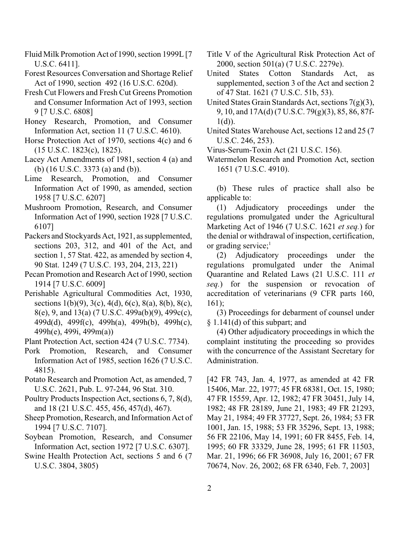- Fluid Milk Promotion Act of 1990, section 1999L [7 U.S.C. 6411].
- Forest Resources Conversation and Shortage Relief Act of 1990, section 492 (16 U.S.C. 620d).
- Fresh Cut Flowers and Fresh Cut Greens Promotion and Consumer Information Act of 1993, section 9 [7 U.S.C. 6808]
- Honey Research, Promotion, and Consumer Information Act, section 11 (7 U.S.C. 4610).
- Horse Protection Act of 1970, sections 4(c) and 6 (15 U.S.C. 1823(c), 1825).
- Lacey Act Amendments of 1981, section 4 (a) and (b) (16 U.S.C. 3373 (a) and (b)).
- Lime Research, Promotion, and Consumer Information Act of 1990, as amended, section 1958 [7 U.S.C. 6207]
- Mushroom Promotion, Research, and Consumer Information Act of 1990, section 1928 [7 U.S.C. 6107]
- Packers and Stockyards Act, 1921, as supplemented, sections 203, 312, and 401 of the Act, and section 1, 57 Stat. 422, as amended by section 4, 90 Stat. 1249 (7 U.S.C. 193, 204, 213, 221)
- Pecan Promotion and Research Act of 1990, section 1914 [7 U.S.C. 6009]
- Perishable Agricultural Commodities Act, 1930, sections 1(b)(9), 3(c), 4(d), 6(c), 8(a), 8(b), 8(c), 8(e), 9, and 13(a) (7 U.S.C. 499a(b)(9), 499c(c), 499d(d), 499f(c), 499h(a), 499h(b), 499h(c), 499h(e), 499i, 499m(a))
- Plant Protection Act, section 424 (7 U.S.C. 7734).
- Pork Promotion, Research, and Consumer Information Act of 1985, section 1626 (7 U.S.C. 4815).
- Potato Research and Promotion Act, as amended, 7 U.S.C. 2621, Pub. L. 97-244, 96 Stat. 310.
- Poultry Products Inspection Act, sections 6, 7, 8(d), and 18 (21 U.S.C. 455, 456, 457(d), 467).
- Sheep Promotion, Research, and Information Act of 1994 [7 U.S.C. 7107].
- Soybean Promotion, Research, and Consumer Information Act, section 1972 [7 U.S.C. 6307].
- Swine Health Protection Act, sections 5 and 6 (7 U.S.C. 3804, 3805)
- Title V of the Agricultural Risk Protection Act of 2000, section 501(a) (7 U.S.C. 2279e).
- United States Cotton Standards Act, as supplemented, section 3 of the Act and section 2 of 47 Stat. 1621 (7 U.S.C. 51b, 53).
- United States Grain Standards Act, sections  $7(g)(3)$ , 9, 10, and 17A(d) (7 U.S.C. 79(g)(3), 85, 86, 87f- $1(d)$ ).
- United States Warehouse Act, sections 12 and 25 (7 U.S.C. 246, 253).
- Virus-Serum-Toxin Act (21 U.S.C. 156).
- Watermelon Research and Promotion Act, section 1651 (7 U.S.C. 4910).

(b) These rules of practice shall also be applicable to:

(1) Adjudicatory proceedings under the regulations promulgated under the Agricultural Marketing Act of 1946 (7 U.S.C. 1621 *et seq.*) for the denial or withdrawal of inspection, certification, or grading service; $<sup>1</sup>$ </sup>

(2) Adjudicatory proceedings under the regulations promulgated under the Animal Quarantine and Related Laws (21 U.S.C. 111 *et seq.*) for the suspension or revocation of accreditation of veterinarians (9 CFR parts 160, 161);

(3) Proceedings for debarment of counsel under § 1.141(d) of this subpart; and

(4) Other adjudicatory proceedings in which the complaint instituting the proceeding so provides with the concurrence of the Assistant Secretary for Administration.

[42 FR 743, Jan. 4, 1977, as amended at 42 FR 15406, Mar. 22, 1977; 45 FR 68381, Oct. 15, 1980; 47 FR 15559, Apr. 12, 1982; 47 FR 30451, July 14, 1982; 48 FR 28189, June 21, 1983; 49 FR 21293, May 21, 1984; 49 FR 37727, Sept. 26, 1984; 53 FR 1001, Jan. 15, 1988; 53 FR 35296, Sept. 13, 1988; 56 FR 22106, May 14, 1991; 60 FR 8455, Feb. 14, 1995; 60 FR 33329, June 28, 1995; 61 FR 11503, Mar. 21, 1996; 66 FR 36908, July 16, 2001; 67 FR 70674, Nov. 26, 2002; 68 FR 6340, Feb. 7, 2003]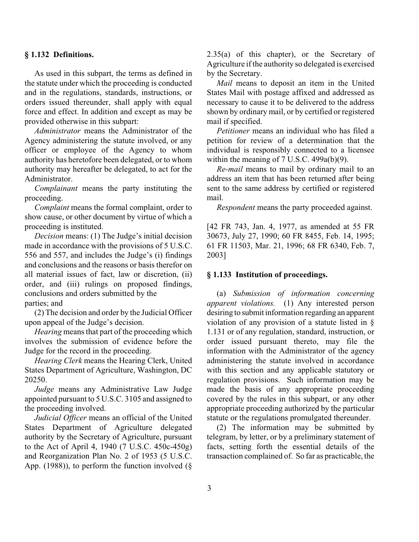## **§ 1.132 Definitions.**

As used in this subpart, the terms as defined in the statute under which the proceeding is conducted and in the regulations, standards, instructions, or orders issued thereunder, shall apply with equal force and effect. In addition and except as may be provided otherwise in this subpart:

*Administrator* means the Administrator of the Agency administering the statute involved, or any officer or employee of the Agency to whom authority has heretofore been delegated, or to whom authority may hereafter be delegated, to act for the Administrator.

*Complainant* means the party instituting the proceeding.

*Complaint* means the formal complaint, order to show cause, or other document by virtue of which a proceeding is instituted.

*Decision* means: (1) The Judge's initial decision made in accordance with the provisions of 5 U.S.C. 556 and 557, and includes the Judge's (i) findings and conclusions and the reasons or basis therefor on all material issues of fact, law or discretion, (ii) order, and (iii) rulings on proposed findings, conclusions and orders submitted by the parties; and

(2) The decision and order by the Judicial Officer upon appeal of the Judge's decision.

*Hearing* means that part of the proceeding which involves the submission of evidence before the Judge for the record in the proceeding.

*Hearing Clerk* means the Hearing Clerk, United States Department of Agriculture, Washington, DC 20250.

*Judge* means any Administrative Law Judge appointed pursuant to 5 U.S.C. 3105 and assigned to the proceeding involved.

*Judicial Officer* means an official of the United States Department of Agriculture delegated authority by the Secretary of Agriculture, pursuant to the Act of April 4, 1940 (7 U.S.C. 450c-450g) and Reorganization Plan No. 2 of 1953 (5 U.S.C. App. (1988)), to perform the function involved  $(\S$  2.35(a) of this chapter), or the Secretary of Agriculture if the authority so delegated is exercised by the Secretary.

*Mail* means to deposit an item in the United States Mail with postage affixed and addressed as necessary to cause it to be delivered to the address shown by ordinary mail, or by certified or registered mail if specified.

*Petitioner* means an individual who has filed a petition for review of a determination that the individual is responsibly connected to a licensee within the meaning of 7 U.S.C. 499a(b)(9).

*Re-mail* means to mail by ordinary mail to an address an item that has been returned after being sent to the same address by certified or registered mail.

*Respondent* means the party proceeded against.

[42 FR 743, Jan. 4, 1977, as amended at 55 FR 30673, July 27, 1990; 60 FR 8455, Feb. 14, 1995; 61 FR 11503, Mar. 21, 1996; 68 FR 6340, Feb. 7, 2003]

## **§ 1.133 Institution of proceedings.**

(a) *Submission of information concerning apparent violations.* (1) Any interested person desiring to submit information regarding an apparent violation of any provision of a statute listed in § 1.131 or of any regulation, standard, instruction, or order issued pursuant thereto, may file the information with the Administrator of the agency administering the statute involved in accordance with this section and any applicable statutory or regulation provisions. Such information may be made the basis of any appropriate proceeding covered by the rules in this subpart, or any other appropriate proceeding authorized by the particular statute or the regulations promulgated thereunder.

(2) The information may be submitted by telegram, by letter, or by a preliminary statement of facts, setting forth the essential details of the transaction complained of. So far as practicable, the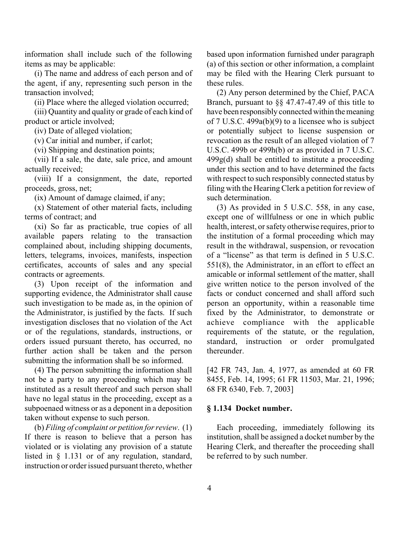information shall include such of the following items as may be applicable:

(i) The name and address of each person and of the agent, if any, representing such person in the transaction involved;

(ii) Place where the alleged violation occurred;

(iii) Quantity and quality or grade of each kind of product or article involved;

(iv) Date of alleged violation;

(v) Car initial and number, if carlot;

(vi) Shipping and destination points;

(vii) If a sale, the date, sale price, and amount actually received;

(viii) If a consignment, the date, reported proceeds, gross, net;

(ix) Amount of damage claimed, if any;

(x) Statement of other material facts, including terms of contract; and

(xi) So far as practicable, true copies of all available papers relating to the transaction complained about, including shipping documents, letters, telegrams, invoices, manifests, inspection certificates, accounts of sales and any special contracts or agreements.

(3) Upon receipt of the information and supporting evidence, the Administrator shall cause such investigation to be made as, in the opinion of the Administrator, is justified by the facts. If such investigation discloses that no violation of the Act or of the regulations, standards, instructions, or orders issued pursuant thereto, has occurred, no further action shall be taken and the person submitting the information shall be so informed.

(4) The person submitting the information shall not be a party to any proceeding which may be instituted as a result thereof and such person shall have no legal status in the proceeding, except as a subpoenaed witness or as a deponent in a deposition taken without expense to such person.

(b) *Filing of complaint or petition for review*. (1) If there is reason to believe that a person has violated or is violating any provision of a statute listed in § 1.131 or of any regulation, standard, instruction or order issued pursuant thereto, whether based upon information furnished under paragraph (a) of this section or other information, a complaint may be filed with the Hearing Clerk pursuant to these rules.

(2) Any person determined by the Chief, PACA Branch, pursuant to §§ 47.47-47.49 of this title to have been responsibly connected within the meaning of 7 U.S.C. 499a(b)(9) to a licensee who is subject or potentially subject to license suspension or revocation as the result of an alleged violation of 7 U.S.C. 499b or 499h(b) or as provided in 7 U.S.C.  $499g(d)$  shall be entitled to institute a proceeding under this section and to have determined the facts with respect to such responsibly connected status by filing with the Hearing Clerk a petition for review of such determination.

(3) As provided in 5 U.S.C. 558, in any case, except one of willfulness or one in which public health, interest, or safety otherwise requires, prior to the institution of a formal proceeding which may result in the withdrawal, suspension, or revocation of a "license" as that term is defined in 5 U.S.C. 551(8), the Administrator, in an effort to effect an amicable or informal settlement of the matter, shall give written notice to the person involved of the facts or conduct concerned and shall afford such person an opportunity, within a reasonable time fixed by the Administrator, to demonstrate or achieve compliance with the applicable requirements of the statute, or the regulation, standard, instruction or order promulgated thereunder.

[42 FR 743, Jan. 4, 1977, as amended at 60 FR 8455, Feb. 14, 1995; 61 FR 11503, Mar. 21, 1996; 68 FR 6340, Feb. 7, 2003]

#### **§ 1.134 Docket number.**

Each proceeding, immediately following its institution, shall be assigned a docket number by the Hearing Clerk, and thereafter the proceeding shall be referred to by such number.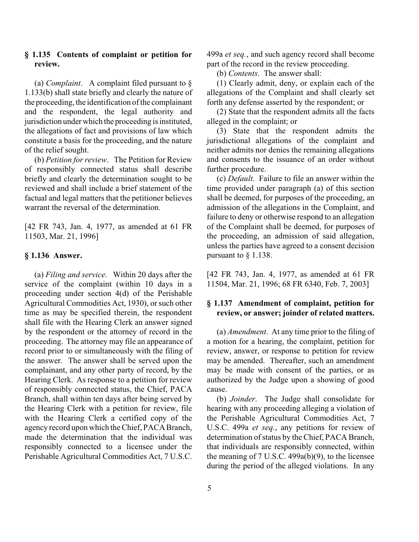## **§ 1.135 Contents of complaint or petition for review.**

(a) *Complaint*. A complaint filed pursuant to § 1.133(b) shall state briefly and clearly the nature of the proceeding, the identification of the complainant and the respondent, the legal authority and jurisdiction under which the proceeding is instituted, the allegations of fact and provisions of law which constitute a basis for the proceeding, and the nature of the relief sought.

(b) *Petition for review*. The Petition for Review of responsibly connected status shall describe briefly and clearly the determination sought to be reviewed and shall include a brief statement of the factual and legal matters that the petitioner believes warrant the reversal of the determination.

[42 FR 743, Jan. 4, 1977, as amended at 61 FR 11503, Mar. 21, 1996]

## **§ 1.136 Answer.**

(a) *Filing and service*. Within 20 days after the service of the complaint (within 10 days in a proceeding under section 4(d) of the Perishable Agricultural Commodities Act, 1930), or such other time as may be specified therein, the respondent shall file with the Hearing Clerk an answer signed by the respondent or the attorney of record in the proceeding. The attorney may file an appearance of record prior to or simultaneously with the filing of the answer. The answer shall be served upon the complainant, and any other party of record, by the Hearing Clerk. As response to a petition for review of responsibly connected status, the Chief, PACA Branch, shall within ten days after being served by the Hearing Clerk with a petition for review, file with the Hearing Clerk a certified copy of the agency record upon which the Chief, PACA Branch, made the determination that the individual was responsibly connected to a licensee under the Perishable Agricultural Commodities Act, 7 U.S.C.

499a *et seq.*, and such agency record shall become part of the record in the review proceeding.

(b) *Contents*. The answer shall:

(1) Clearly admit, deny, or explain each of the allegations of the Complaint and shall clearly set forth any defense asserted by the respondent; or

(2) State that the respondent admits all the facts alleged in the complaint; or

(3) State that the respondent admits the jurisdictional allegations of the complaint and neither admits nor denies the remaining allegations and consents to the issuance of an order without further procedure.

(c) *Default*. Failure to file an answer within the time provided under paragraph (a) of this section shall be deemed, for purposes of the proceeding, an admission of the allegations in the Complaint, and failure to deny or otherwise respond to an allegation of the Complaint shall be deemed, for purposes of the proceeding, an admission of said allegation, unless the parties have agreed to a consent decision pursuant to § 1.138.

[42 FR 743, Jan. 4, 1977, as amended at 61 FR 11504, Mar. 21, 1996; 68 FR 6340, Feb. 7, 2003]

## **§ 1.137 Amendment of complaint, petition for review, or answer; joinder of related matters.**

(a) *Amendment*. At any time prior to the filing of a motion for a hearing, the complaint, petition for review, answer, or response to petition for review may be amended. Thereafter, such an amendment may be made with consent of the parties, or as authorized by the Judge upon a showing of good cause.

(b) *Joinder*. The Judge shall consolidate for hearing with any proceeding alleging a violation of the Perishable Agricultural Commodities Act, 7 U.S.C. 499a *et seq.*, any petitions for review of determination of status by the Chief, PACA Branch, that individuals are responsibly connected, within the meaning of 7 U.S.C. 499a(b)(9), to the licensee during the period of the alleged violations. In any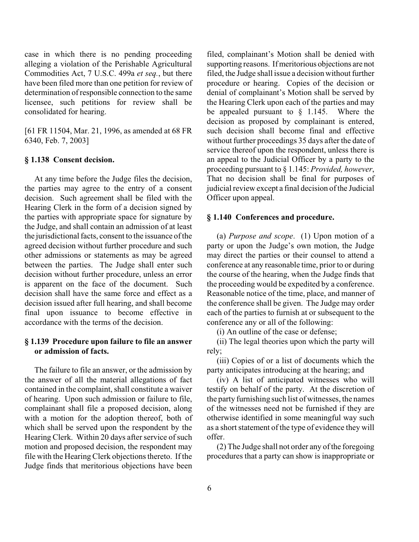case in which there is no pending proceeding alleging a violation of the Perishable Agricultural Commodities Act, 7 U.S.C. 499a *et seq.*, but there have been filed more than one petition for review of determination of responsible connection to the same licensee, such petitions for review shall be consolidated for hearing.

[61 FR 11504, Mar. 21, 1996, as amended at 68 FR 6340, Feb. 7, 2003]

#### **§ 1.138 Consent decision.**

At any time before the Judge files the decision, the parties may agree to the entry of a consent decision. Such agreement shall be filed with the Hearing Clerk in the form of a decision signed by the parties with appropriate space for signature by the Judge, and shall contain an admission of at least the jurisdictional facts, consent to the issuance of the agreed decision without further procedure and such other admissions or statements as may be agreed between the parties. The Judge shall enter such decision without further procedure, unless an error is apparent on the face of the document. Such decision shall have the same force and effect as a decision issued after full hearing, and shall become final upon issuance to become effective in accordance with the terms of the decision.

## **§ 1.139 Procedure upon failure to file an answer or admission of facts.**

The failure to file an answer, or the admission by the answer of all the material allegations of fact contained in the complaint, shall constitute a waiver of hearing. Upon such admission or failure to file, complainant shall file a proposed decision, along with a motion for the adoption thereof, both of which shall be served upon the respondent by the Hearing Clerk. Within 20 days after service of such motion and proposed decision, the respondent may file with the Hearing Clerk objections thereto. If the Judge finds that meritorious objections have been filed, complainant's Motion shall be denied with supporting reasons. If meritorious objections are not filed, the Judge shall issue a decision without further procedure or hearing. Copies of the decision or denial of complainant's Motion shall be served by the Hearing Clerk upon each of the parties and may be appealed pursuant to  $\S$  1.145. Where the decision as proposed by complainant is entered, such decision shall become final and effective without further proceedings 35 days after the date of service thereof upon the respondent, unless there is an appeal to the Judicial Officer by a party to the proceeding pursuant to § 1.145: *Provided, however*, That no decision shall be final for purposes of judicial review except a final decision of the Judicial Officer upon appeal.

#### **§ 1.140 Conferences and procedure.**

(a) *Purpose and scope*. (1) Upon motion of a party or upon the Judge's own motion, the Judge may direct the parties or their counsel to attend a conference at any reasonable time, prior to or during the course of the hearing, when the Judge finds that the proceeding would be expedited by a conference. Reasonable notice of the time, place, and manner of the conference shall be given. The Judge may order each of the parties to furnish at or subsequent to the conference any or all of the following:

(i) An outline of the case or defense;

(ii) The legal theories upon which the party will rely;

(iii) Copies of or a list of documents which the party anticipates introducing at the hearing; and

(iv) A list of anticipated witnesses who will testify on behalf of the party. At the discretion of the party furnishing such list of witnesses, the names of the witnesses need not be furnished if they are otherwise identified in some meaningful way such as a short statement of the type of evidence they will offer.

(2) The Judge shall not order any of the foregoing procedures that a party can show is inappropriate or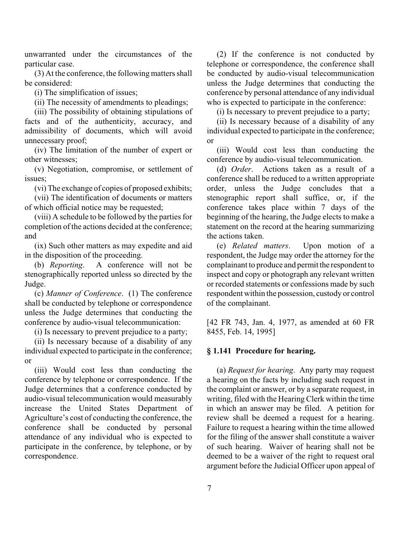unwarranted under the circumstances of the particular case.

(3) At the conference, the following matters shall be considered:

(i) The simplification of issues;

(ii) The necessity of amendments to pleadings;

(iii) The possibility of obtaining stipulations of facts and of the authenticity, accuracy, and admissibility of documents, which will avoid unnecessary proof;

(iv) The limitation of the number of expert or other witnesses;

(v) Negotiation, compromise, or settlement of issues;

(vi) The exchange of copies of proposed exhibits;

(vii) The identification of documents or matters of which official notice may be requested;

(viii) A schedule to be followed by the parties for completion of the actions decided at the conference; and

(ix) Such other matters as may expedite and aid in the disposition of the proceeding.

(b) *Reporting*. A conference will not be stenographically reported unless so directed by the Judge.

(c) *Manner of Conference*. (1) The conference shall be conducted by telephone or correspondence unless the Judge determines that conducting the conference by audio-visual telecommunication:

(i) Is necessary to prevent prejudice to a party;

(ii) Is necessary because of a disability of any individual expected to participate in the conference; or

(iii) Would cost less than conducting the conference by telephone or correspondence. If the Judge determines that a conference conducted by audio-visual telecommunication would measurably increase the United States Department of Agriculture's cost of conducting the conference, the conference shall be conducted by personal attendance of any individual who is expected to participate in the conference, by telephone, or by correspondence.

(2) If the conference is not conducted by telephone or correspondence, the conference shall be conducted by audio-visual telecommunication unless the Judge determines that conducting the conference by personal attendance of any individual who is expected to participate in the conference:

(i) Is necessary to prevent prejudice to a party;

(ii) Is necessary because of a disability of any individual expected to participate in the conference; or

(iii) Would cost less than conducting the conference by audio-visual telecommunication.

(d) *Order*. Actions taken as a result of a conference shall be reduced to a written appropriate order, unless the Judge concludes that a stenographic report shall suffice, or, if the conference takes place within 7 days of the beginning of the hearing, the Judge elects to make a statement on the record at the hearing summarizing the actions taken.

(e) *Related matters*. Upon motion of a respondent, the Judge may order the attorney for the complainant to produce and permit the respondent to inspect and copy or photograph any relevant written or recorded statements or confessions made by such respondent within the possession, custody or control of the complainant.

[42 FR 743, Jan. 4, 1977, as amended at 60 FR 8455, Feb. 14, 1995]

## **§ 1.141 Procedure for hearing.**

(a) *Request for hearing*. Any party may request a hearing on the facts by including such request in the complaint or answer, or by a separate request, in writing, filed with the Hearing Clerk within the time in which an answer may be filed. A petition for review shall be deemed a request for a hearing. Failure to request a hearing within the time allowed for the filing of the answer shall constitute a waiver of such hearing. Waiver of hearing shall not be deemed to be a waiver of the right to request oral argument before the Judicial Officer upon appeal of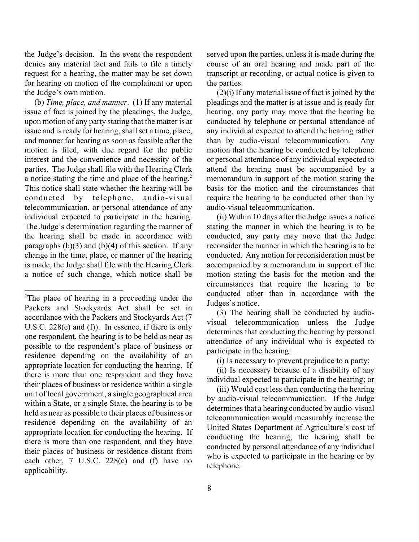the Judge's decision. In the event the respondent denies any material fact and fails to file a timely request for a hearing, the matter may be set down for hearing on motion of the complainant or upon the Judge's own motion.

(b) *Time, place, and manner*. (1) If any material issue of fact is joined by the pleadings, the Judge, upon motion of any party stating that the matter is at issue and is ready for hearing, shall set a time, place, and manner for hearing as soon as feasible after the motion is filed, with due regard for the public interest and the convenience and necessity of the parties. The Judge shall file with the Hearing Clerk a notice stating the time and place of the hearing.<sup>2</sup> This notice shall state whether the hearing will be conducted by telephone, audio-visual telecommunication, or personal attendance of any individual expected to participate in the hearing. The Judge's determination regarding the manner of the hearing shall be made in accordance with paragraphs  $(b)(3)$  and  $(b)(4)$  of this section. If any change in the time, place, or manner of the hearing is made, the Judge shall file with the Hearing Clerk a notice of such change, which notice shall be

served upon the parties, unless it is made during the course of an oral hearing and made part of the transcript or recording, or actual notice is given to the parties.

(2)(i) If any material issue of fact is joined by the pleadings and the matter is at issue and is ready for hearing, any party may move that the hearing be conducted by telephone or personal attendance of any individual expected to attend the hearing rather than by audio-visual telecommunication. Any motion that the hearing be conducted by telephone or personal attendance of any individual expected to attend the hearing must be accompanied by a memorandum in support of the motion stating the basis for the motion and the circumstances that require the hearing to be conducted other than by audio-visual telecommunication.

(ii) Within 10 days after the Judge issues a notice stating the manner in which the hearing is to be conducted, any party may move that the Judge reconsider the manner in which the hearing is to be conducted. Any motion for reconsideration must be accompanied by a memorandum in support of the motion stating the basis for the motion and the circumstances that require the hearing to be conducted other than in accordance with the Judges's notice.

(3) The hearing shall be conducted by audiovisual telecommunication unless the Judge determines that conducting the hearing by personal attendance of any individual who is expected to participate in the hearing:

(i) Is necessary to prevent prejudice to a party;

(ii) Is necessary because of a disability of any individual expected to participate in the hearing; or

(iii) Would cost less than conducting the hearing by audio-visual telecommunication. If the Judge determines that a hearing conducted by audio-visual telecommunication would measurably increase the United States Department of Agriculture's cost of conducting the hearing, the hearing shall be conducted by personal attendance of any individual who is expected to participate in the hearing or by telephone.

<sup>&</sup>lt;sup>2</sup>The place of hearing in a proceeding under the Packers and Stockyards Act shall be set in accordance with the Packers and Stockyards Act (7 U.S.C. 228(e) and (f)). In essence, if there is only one respondent, the hearing is to be held as near as possible to the respondent's place of business or residence depending on the availability of an appropriate location for conducting the hearing. If there is more than one respondent and they have their places of business or residence within a single unit of local government, a single geographical area within a State, or a single State, the hearing is to be held as near as possible to their places of business or residence depending on the availability of an appropriate location for conducting the hearing. If there is more than one respondent, and they have their places of business or residence distant from each other, 7 U.S.C. 228(e) and (f) have no applicability.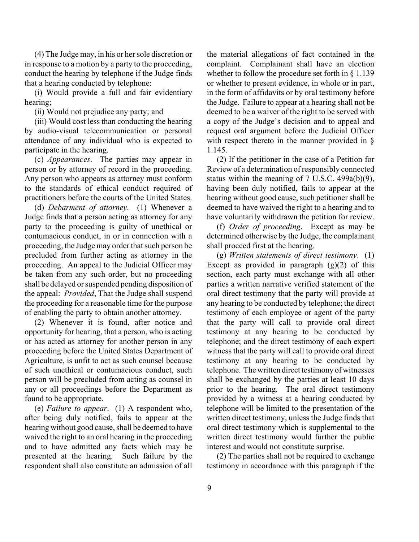(4) The Judge may, in his or her sole discretion or in response to a motion by a party to the proceeding, conduct the hearing by telephone if the Judge finds that a hearing conducted by telephone:

(i) Would provide a full and fair evidentiary hearing;

(ii) Would not prejudice any party; and

(iii) Would cost less than conducting the hearing by audio-visual telecommunication or personal attendance of any individual who is expected to participate in the hearing.

(c) *Appearances*. The parties may appear in person or by attorney of record in the proceeding. Any person who appears as attorney must conform to the standards of ethical conduct required of practitioners before the courts of the United States.

(d) *Debarment of attorney*. (1) Whenever a Judge finds that a person acting as attorney for any party to the proceeding is guilty of unethical or contumacious conduct, in or in connection with a proceeding, the Judge may order that such person be precluded from further acting as attorney in the proceeding. An appeal to the Judicial Officer may be taken from any such order, but no proceeding shall be delayed or suspended pending disposition of the appeal: *Provided*, That the Judge shall suspend the proceeding for a reasonable time for the purpose of enabling the party to obtain another attorney.

(2) Whenever it is found, after notice and opportunity for hearing, that a person, who is acting or has acted as attorney for another person in any proceeding before the United States Department of Agriculture, is unfit to act as such counsel because of such unethical or contumacious conduct, such person will be precluded from acting as counsel in any or all proceedings before the Department as found to be appropriate.

(e) *Failure to appear*. (1) A respondent who, after being duly notified, fails to appear at the hearing without good cause, shall be deemed to have waived the right to an oral hearing in the proceeding and to have admitted any facts which may be presented at the hearing. Such failure by the respondent shall also constitute an admission of all the material allegations of fact contained in the complaint. Complainant shall have an election whether to follow the procedure set forth in § 1.139 or whether to present evidence, in whole or in part, in the form of affidavits or by oral testimony before the Judge. Failure to appear at a hearing shall not be deemed to be a waiver of the right to be served with a copy of the Judge's decision and to appeal and request oral argument before the Judicial Officer with respect thereto in the manner provided in § 1.145.

(2) If the petitioner in the case of a Petition for Review of a determination of responsibly connected status within the meaning of 7 U.S.C. 499a(b)(9), having been duly notified, fails to appear at the hearing without good cause, such petitioner shall be deemed to have waived the right to a hearing and to have voluntarily withdrawn the petition for review.

(f) *Order of proceeding*. Except as may be determined otherwise by the Judge, the complainant shall proceed first at the hearing.

(g) *Written statements of direct testimony*. (1) Except as provided in paragraph  $(g)(2)$  of this section, each party must exchange with all other parties a written narrative verified statement of the oral direct testimony that the party will provide at any hearing to be conducted by telephone; the direct testimony of each employee or agent of the party that the party will call to provide oral direct testimony at any hearing to be conducted by telephone; and the direct testimony of each expert witness that the party will call to provide oral direct testimony at any hearing to be conducted by telephone. The written direct testimony of witnesses shall be exchanged by the parties at least 10 days prior to the hearing. The oral direct testimony provided by a witness at a hearing conducted by telephone will be limited to the presentation of the written direct testimony, unless the Judge finds that oral direct testimony which is supplemental to the written direct testimony would further the public interest and would not constitute surprise.

(2) The parties shall not be required to exchange testimony in accordance with this paragraph if the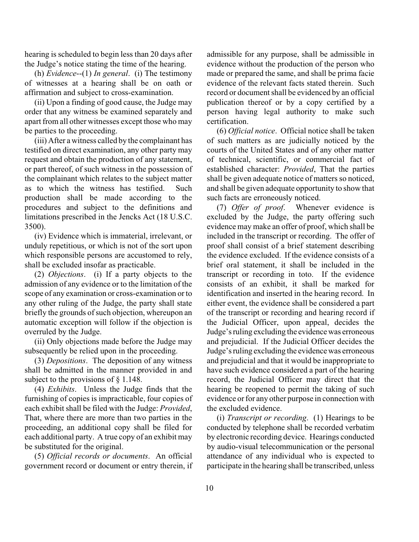hearing is scheduled to begin less than 20 days after the Judge's notice stating the time of the hearing.

(h) *Evidence*--(1) *In general*. (i) The testimony of witnesses at a hearing shall be on oath or affirmation and subject to cross-examination.

(ii) Upon a finding of good cause, the Judge may order that any witness be examined separately and apart from all other witnesses except those who may be parties to the proceeding.

(iii) After a witness called by the complainant has testified on direct examination, any other party may request and obtain the production of any statement, or part thereof, of such witness in the possession of the complainant which relates to the subject matter as to which the witness has testified. Such production shall be made according to the procedures and subject to the definitions and limitations prescribed in the Jencks Act (18 U.S.C. 3500).

(iv) Evidence which is immaterial, irrelevant, or unduly repetitious, or which is not of the sort upon which responsible persons are accustomed to rely, shall be excluded insofar as practicable.

(2) *Objections*. (i) If a party objects to the admission of any evidence or to the limitation of the scope of any examination or cross-examination or to any other ruling of the Judge, the party shall state briefly the grounds of such objection, whereupon an automatic exception will follow if the objection is overruled by the Judge.

(ii) Only objections made before the Judge may subsequently be relied upon in the proceeding.

(3) *Depositions*. The deposition of any witness shall be admitted in the manner provided in and subject to the provisions of § 1.148.

(4) *Exhibits*. Unless the Judge finds that the furnishing of copies is impracticable, four copies of each exhibit shall be filed with the Judge: *Provided*, That, where there are more than two parties in the proceeding, an additional copy shall be filed for each additional party. A true copy of an exhibit may be substituted for the original.

(5) *Official records or documents*. An official government record or document or entry therein, if admissible for any purpose, shall be admissible in evidence without the production of the person who made or prepared the same, and shall be prima facie evidence of the relevant facts stated therein. Such record or document shall be evidenced by an official publication thereof or by a copy certified by a person having legal authority to make such certification.

(6) *Official notice*. Official notice shall be taken of such matters as are judicially noticed by the courts of the United States and of any other matter of technical, scientific, or commercial fact of established character: *Provided*, That the parties shall be given adequate notice of matters so noticed, and shall be given adequate opportunity to show that such facts are erroneously noticed.

(7) *Offer of proof*. Whenever evidence is excluded by the Judge, the party offering such evidence may make an offer of proof, which shall be included in the transcript or recording. The offer of proof shall consist of a brief statement describing the evidence excluded. If the evidence consists of a brief oral statement, it shall be included in the transcript or recording in toto. If the evidence consists of an exhibit, it shall be marked for identification and inserted in the hearing record. In either event, the evidence shall be considered a part of the transcript or recording and hearing record if the Judicial Officer, upon appeal, decides the Judge's ruling excluding the evidence was erroneous and prejudicial. If the Judicial Officer decides the Judge's ruling excluding the evidence was erroneous and prejudicial and that it would be inappropriate to have such evidence considered a part of the hearing record, the Judicial Officer may direct that the hearing be reopened to permit the taking of such evidence or for any other purpose in connection with the excluded evidence.

(i) *Transcript or recording*. (1) Hearings to be conducted by telephone shall be recorded verbatim by electronic recording device. Hearings conducted by audio-visual telecommunication or the personal attendance of any individual who is expected to participate in the hearing shall be transcribed, unless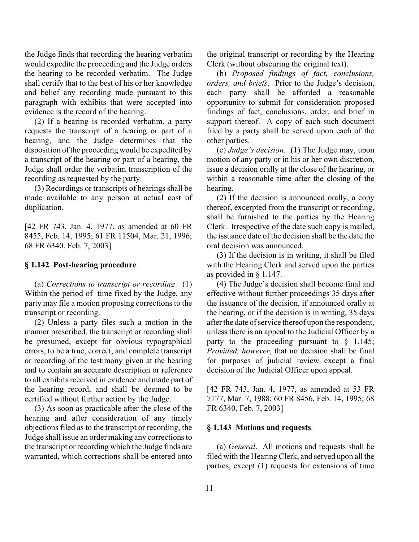the Judge finds that recording the hearing verbatim would expedite the proceeding and the Judge orders the hearing to be recorded verbatim. The Judge shall certify that to the best of his or her knowledge and belief any recording made pursuant to this paragraph with exhibits that were accepted into evidence is the record of the hearing.

(2) If a hearing is recorded verbatim, a party requests the transcript of a hearing or part of a hearing, and the Judge determines that the disposition of the proceeding would be expedited by a transcript of the hearing or part of a hearing, the Judge shall order the verbatim transcription of the recording as requested by the party.

(3) Recordings or transcripts of hearings shall be made available to any person at actual cost of duplication.

[42 FR 743, Jan. 4, 1977, as amended at 60 FR 8455, Feb. 14, 1995; 61 FR 11504, Mar. 21, 1996; 68 FR 6340, Feb. 7, 2003]

## **§ 1.142 Post-hearing procedure**.

(a) *Corrections to transcript or recording*. (1) Within the period of time fixed by the Judge, any party may file a motion proposing corrections to the transcript or recording.

(2) Unless a party files such a motion in the manner prescribed, the transcript or recording shall be presumed, except for obvious typographical errors, to be a true, correct, and complete transcript or recording of the testimony given at the hearing and to contain an accurate description or reference to all exhibits received in evidence and made part of the hearing record, and shall be deemed to be certified without further action by the Judge.

(3) As soon as practicable after the close of the hearing and after consideration of any timely objections filed as to the transcript or recording, the Judge shall issue an order making any corrections to the transcript or recording which the Judge finds are warranted, which corrections shall be entered onto the original transcript or recording by the Hearing Clerk (without obscuring the original text).

(b) *Proposed findings of fact, conclusions, orders, and briefs*. Prior to the Judge's decision, each party shall be afforded a reasonable opportunity to submit for consideration proposed findings of fact, conclusions, order, and brief in support thereof. A copy of each such document filed by a party shall be served upon each of the other parties.

(c) *Judge's decision*. (1) The Judge may, upon motion of any party or in his or her own discretion, issue a decision orally at the close of the hearing, or within a reasonable time after the closing of the hearing.

(2) If the decision is announced orally, a copy thereof, excerpted from the transcript or recording, shall be furnished to the parties by the Hearing Clerk. Irrespective of the date such copy is mailed, the issuance date of the decision shall be the date the oral decision was announced.

(3) If the decision is in writing, it shall be filed with the Hearing Clerk and served upon the parties as provided in § 1.147.

(4) The Judge's decision shall become final and effective without further proceedings 35 days after the issuance of the decision, if announced orally at the hearing, or if the decision is in writing, 35 days after the date of service thereof upon the respondent, unless there is an appeal to the Judicial Officer by a party to the proceeding pursuant to  $\S$  1.145; *Provided, however*, that no decision shall be final for purposes of judicial review except a final decision of the Judicial Officer upon appeal.

[42 FR 743, Jan. 4, 1977, as amended at 53 FR 7177, Mar. 7, 1988; 60 FR 8456, Feb. 14, 1995; 68 FR 6340, Feb. 7, 2003]

#### **§ 1.143 Motions and requests**.

(a) *General*. All motions and requests shall be filed with the Hearing Clerk, and served upon all the parties, except (1) requests for extensions of time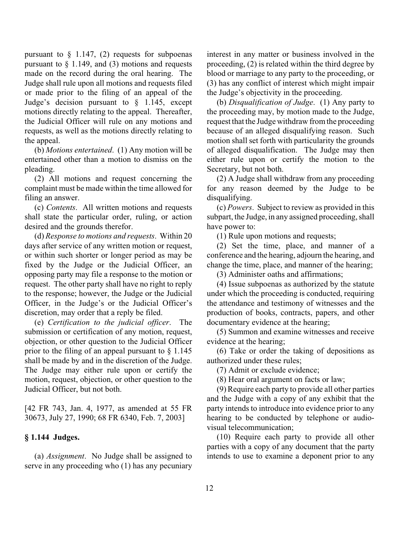pursuant to  $\S$  1.147, (2) requests for subpoenas pursuant to  $\S$  1.149, and (3) motions and requests made on the record during the oral hearing. The Judge shall rule upon all motions and requests filed or made prior to the filing of an appeal of the Judge's decision pursuant to  $\frac{1}{2}$  1.145, except motions directly relating to the appeal. Thereafter, the Judicial Officer will rule on any motions and requests, as well as the motions directly relating to the appeal.

(b) *Motions entertained*. (1) Any motion will be entertained other than a motion to dismiss on the pleading.

(2) All motions and request concerning the complaint must be made within the time allowed for filing an answer.

(c) *Contents*. All written motions and requests shall state the particular order, ruling, or action desired and the grounds therefor.

(d) *Response to motions and requests*. Within 20 days after service of any written motion or request, or within such shorter or longer period as may be fixed by the Judge or the Judicial Officer, an opposing party may file a response to the motion or request. The other party shall have no right to reply to the response; however, the Judge or the Judicial Officer, in the Judge's or the Judicial Officer's discretion, may order that a reply be filed.

(e) *Certification to the judicial officer*. The submission or certification of any motion, request, objection, or other question to the Judicial Officer prior to the filing of an appeal pursuant to  $\S$  1.145 shall be made by and in the discretion of the Judge. The Judge may either rule upon or certify the motion, request, objection, or other question to the Judicial Officer, but not both.

[42 FR 743, Jan. 4, 1977, as amended at 55 FR 30673, July 27, 1990; 68 FR 6340, Feb. 7, 2003]

## **§ 1.144 Judges.**

(a) *Assignment*. No Judge shall be assigned to serve in any proceeding who (1) has any pecuniary interest in any matter or business involved in the proceeding, (2) is related within the third degree by blood or marriage to any party to the proceeding, or (3) has any conflict of interest which might impair the Judge's objectivity in the proceeding.

(b) *Disqualification of Judge*. (1) Any party to the proceeding may, by motion made to the Judge, request that the Judge withdraw from the proceeding because of an alleged disqualifying reason. Such motion shall set forth with particularity the grounds of alleged disqualification. The Judge may then either rule upon or certify the motion to the Secretary, but not both.

(2) A Judge shall withdraw from any proceeding for any reason deemed by the Judge to be disqualifying.

(c) *Powers*. Subject to review as provided in this subpart, the Judge, in any assigned proceeding, shall have power to:

(1) Rule upon motions and requests;

(2) Set the time, place, and manner of a conference and the hearing, adjourn the hearing, and change the time, place, and manner of the hearing;

(3) Administer oaths and affirmations;

(4) Issue subpoenas as authorized by the statute under which the proceeding is conducted, requiring the attendance and testimony of witnesses and the production of books, contracts, papers, and other documentary evidence at the hearing;

(5) Summon and examine witnesses and receive evidence at the hearing;

(6) Take or order the taking of depositions as authorized under these rules;

(7) Admit or exclude evidence;

(8) Hear oral argument on facts or law;

(9) Require each party to provide all other parties and the Judge with a copy of any exhibit that the party intends to introduce into evidence prior to any hearing to be conducted by telephone or audiovisual telecommunication;

(10) Require each party to provide all other parties with a copy of any document that the party intends to use to examine a deponent prior to any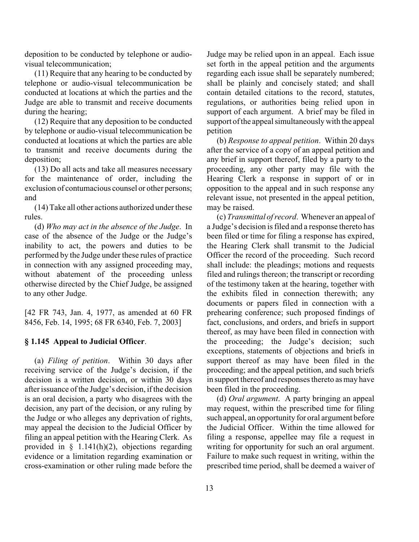deposition to be conducted by telephone or audiovisual telecommunication;

(11) Require that any hearing to be conducted by telephone or audio-visual telecommunication be conducted at locations at which the parties and the Judge are able to transmit and receive documents during the hearing;

(12) Require that any deposition to be conducted by telephone or audio-visual telecommunication be conducted at locations at which the parties are able to transmit and receive documents during the deposition;

(13) Do all acts and take all measures necessary for the maintenance of order, including the exclusion of contumacious counsel or other persons; and

(14) Take all other actions authorized under these rules.

(d) *Who may act in the absence of the Judge*. In case of the absence of the Judge or the Judge's inability to act, the powers and duties to be performed by the Judge under these rules of practice in connection with any assigned proceeding may, without abatement of the proceeding unless otherwise directed by the Chief Judge, be assigned to any other Judge.

[42 FR 743, Jan. 4, 1977, as amended at 60 FR 8456, Feb. 14, 1995; 68 FR 6340, Feb. 7, 2003]

## **§ 1.145 Appeal to Judicial Officer**.

(a) *Filing of petition*. Within 30 days after receiving service of the Judge's decision, if the decision is a written decision, or within 30 days after issuance of the Judge's decision, if the decision is an oral decision, a party who disagrees with the decision, any part of the decision, or any ruling by the Judge or who alleges any deprivation of rights, may appeal the decision to the Judicial Officer by filing an appeal petition with the Hearing Clerk. As provided in  $\S$  1.141(h)(2), objections regarding evidence or a limitation regarding examination or cross-examination or other ruling made before the Judge may be relied upon in an appeal. Each issue set forth in the appeal petition and the arguments regarding each issue shall be separately numbered; shall be plainly and concisely stated; and shall contain detailed citations to the record, statutes, regulations, or authorities being relied upon in support of each argument. A brief may be filed in support of the appeal simultaneously with the appeal petition

(b) *Response to appeal petition*. Within 20 days after the service of a copy of an appeal petition and any brief in support thereof, filed by a party to the proceeding, any other party may file with the Hearing Clerk a response in support of or in opposition to the appeal and in such response any relevant issue, not presented in the appeal petition, may be raised.

(c) *Transmittal of record*. Whenever an appeal of a Judge's decision is filed and a response thereto has been filed or time for filing a response has expired, the Hearing Clerk shall transmit to the Judicial Officer the record of the proceeding. Such record shall include: the pleadings; motions and requests filed and rulings thereon; the transcript or recording of the testimony taken at the hearing, together with the exhibits filed in connection therewith; any documents or papers filed in connection with a prehearing conference; such proposed findings of fact, conclusions, and orders, and briefs in support thereof, as may have been filed in connection with the proceeding; the Judge's decision; such exceptions, statements of objections and briefs in support thereof as may have been filed in the proceeding; and the appeal petition, and such briefs in support thereof and responses thereto as may have been filed in the proceeding.

(d) *Oral argument*. A party bringing an appeal may request, within the prescribed time for filing such appeal, an opportunity for oral argument before the Judicial Officer. Within the time allowed for filing a response, appellee may file a request in writing for opportunity for such an oral argument. Failure to make such request in writing, within the prescribed time period, shall be deemed a waiver of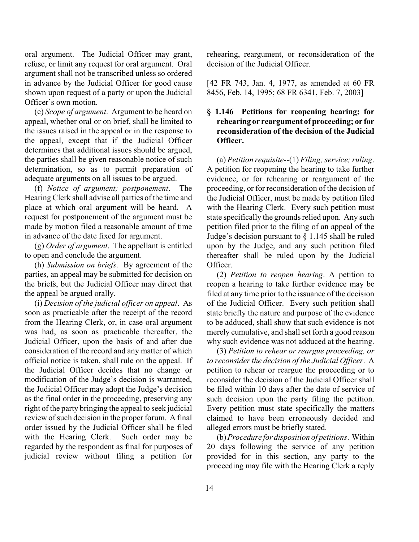oral argument. The Judicial Officer may grant, refuse, or limit any request for oral argument. Oral argument shall not be transcribed unless so ordered in advance by the Judicial Officer for good cause shown upon request of a party or upon the Judicial Officer's own motion.

(e) *Scope of argument*. Argument to be heard on appeal, whether oral or on brief, shall be limited to the issues raised in the appeal or in the response to the appeal, except that if the Judicial Officer determines that additional issues should be argued, the parties shall be given reasonable notice of such determination, so as to permit preparation of adequate arguments on all issues to be argued.

(f) *Notice of argument; postponement*. The Hearing Clerk shall advise all parties of the time and place at which oral argument will be heard. A request for postponement of the argument must be made by motion filed a reasonable amount of time in advance of the date fixed for argument.

(g) *Order of argument*. The appellant is entitled to open and conclude the argument.

(h) *Submission on briefs*. By agreement of the parties, an appeal may be submitted for decision on the briefs, but the Judicial Officer may direct that the appeal be argued orally.

(i) *Decision of the judicial officer on appeal*. As soon as practicable after the receipt of the record from the Hearing Clerk, or, in case oral argument was had, as soon as practicable thereafter, the Judicial Officer, upon the basis of and after due consideration of the record and any matter of which official notice is taken, shall rule on the appeal. If the Judicial Officer decides that no change or modification of the Judge's decision is warranted, the Judicial Officer may adopt the Judge's decision as the final order in the proceeding, preserving any right of the party bringing the appeal to seek judicial review of such decision in the proper forum. A final order issued by the Judicial Officer shall be filed with the Hearing Clerk. Such order may be regarded by the respondent as final for purposes of judicial review without filing a petition for

rehearing, reargument, or reconsideration of the decision of the Judicial Officer.

[42 FR 743, Jan. 4, 1977, as amended at 60 FR 8456, Feb. 14, 1995; 68 FR 6341, Feb. 7, 2003]

# **§ 1.146 Petitions for reopening hearing; for rehearing or reargument of proceeding; or for reconsideration of the decision of the Judicial Officer.**

(a) *Petition requisite*--(1) *Filing; service; ruling*. A petition for reopening the hearing to take further evidence, or for rehearing or reargument of the proceeding, or for reconsideration of the decision of the Judicial Officer, must be made by petition filed with the Hearing Clerk. Every such petition must state specifically the grounds relied upon. Any such petition filed prior to the filing of an appeal of the Judge's decision pursuant to § 1.145 shall be ruled upon by the Judge, and any such petition filed thereafter shall be ruled upon by the Judicial Officer.

(2) *Petition to reopen hearing*. A petition to reopen a hearing to take further evidence may be filed at any time prior to the issuance of the decision of the Judicial Officer. Every such petition shall state briefly the nature and purpose of the evidence to be adduced, shall show that such evidence is not merely cumulative, and shall set forth a good reason why such evidence was not adduced at the hearing.

(3) *Petition to rehear or reargue proceeding, or to reconsider the decision of the Judicial Officer*. A petition to rehear or reargue the proceeding or to reconsider the decision of the Judicial Officer shall be filed within 10 days after the date of service of such decision upon the party filing the petition. Every petition must state specifically the matters claimed to have been erroneously decided and alleged errors must be briefly stated.

(b)*Procedure for disposition of petitions*. Within 20 days following the service of any petition provided for in this section, any party to the proceeding may file with the Hearing Clerk a reply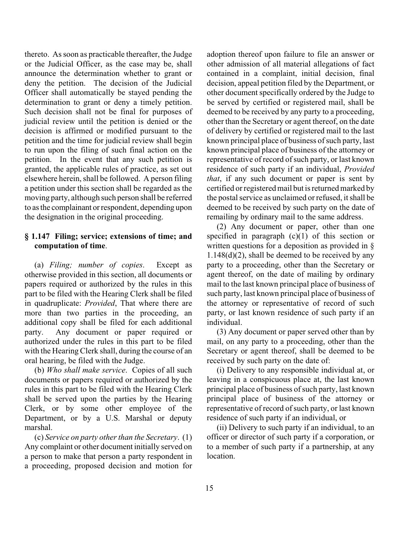thereto. As soon as practicable thereafter, the Judge or the Judicial Officer, as the case may be, shall announce the determination whether to grant or deny the petition. The decision of the Judicial Officer shall automatically be stayed pending the determination to grant or deny a timely petition. Such decision shall not be final for purposes of judicial review until the petition is denied or the decision is affirmed or modified pursuant to the petition and the time for judicial review shall begin to run upon the filing of such final action on the petition. In the event that any such petition is granted, the applicable rules of practice, as set out elsewhere herein, shall be followed. A person filing a petition under this section shall be regarded as the moving party, although such person shall be referred to as the complainant or respondent, depending upon the designation in the original proceeding.

## **§ 1.147 Filing; service; extensions of time; and computation of time**.

(a) *Filing; number of copies*. Except as otherwise provided in this section, all documents or papers required or authorized by the rules in this part to be filed with the Hearing Clerk shall be filed in quadruplicate: *Provided*, That where there are more than two parties in the proceeding, an additional copy shall be filed for each additional party. Any document or paper required or authorized under the rules in this part to be filed with the Hearing Clerk shall, during the course of an oral hearing, be filed with the Judge.

(b) *Who shall make service*. Copies of all such documents or papers required or authorized by the rules in this part to be filed with the Hearing Clerk shall be served upon the parties by the Hearing Clerk, or by some other employee of the Department, or by a U.S. Marshal or deputy marshal.

(c) *Service on party other than the Secretary*. (1) Any complaint or other document initially served on a person to make that person a party respondent in a proceeding, proposed decision and motion for adoption thereof upon failure to file an answer or other admission of all material allegations of fact contained in a complaint, initial decision, final decision, appeal petition filed by the Department, or other document specifically ordered by the Judge to be served by certified or registered mail, shall be deemed to be received by any party to a proceeding, other than the Secretary or agent thereof, on the date of delivery by certified or registered mail to the last known principal place of business of such party, last known principal place of business of the attorney or representative of record of such party, or last known residence of such party if an individual, *Provided that*, if any such document or paper is sent by certified or registered mail but is returned marked by the postal service as unclaimed or refused, it shall be deemed to be received by such party on the date of remailing by ordinary mail to the same address.

(2) Any document or paper, other than one specified in paragraph  $(c)(1)$  of this section or written questions for a deposition as provided in §  $1.148(d)(2)$ , shall be deemed to be received by any party to a proceeding, other than the Secretary or agent thereof, on the date of mailing by ordinary mail to the last known principal place of business of such party, last known principal place of business of the attorney or representative of record of such party, or last known residence of such party if an individual.

(3) Any document or paper served other than by mail, on any party to a proceeding, other than the Secretary or agent thereof, shall be deemed to be received by such party on the date of:

(i) Delivery to any responsible individual at, or leaving in a conspicuous place at, the last known principal place of business of such party, last known principal place of business of the attorney or representative of record of such party, or last known residence of such party if an individual, or

(ii) Delivery to such party if an individual, to an officer or director of such party if a corporation, or to a member of such party if a partnership, at any location.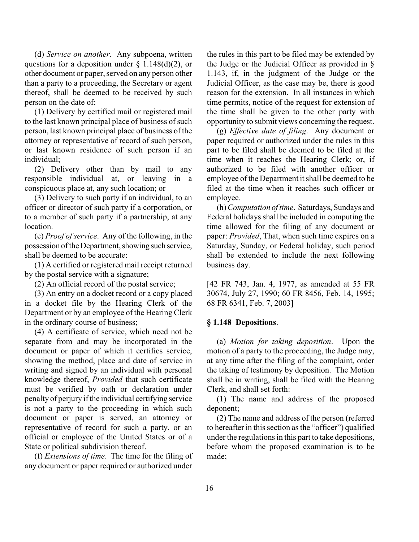(d) *Service on another*. Any subpoena, written questions for a deposition under  $\S$  1.148(d)(2), or other document or paper, served on any person other than a party to a proceeding, the Secretary or agent thereof, shall be deemed to be received by such person on the date of:

(1) Delivery by certified mail or registered mail to the last known principal place of business of such person, last known principal place of business of the attorney or representative of record of such person, or last known residence of such person if an individual;

(2) Delivery other than by mail to any responsible individual at, or leaving in a conspicuous place at, any such location; or

(3) Delivery to such party if an individual, to an officer or director of such party if a corporation, or to a member of such party if a partnership, at any location.

(e) *Proof of service*. Any of the following, in the possession of the Department, showing such service, shall be deemed to be accurate:

(1) A certified or registered mail receipt returned by the postal service with a signature;

(2) An official record of the postal service;

(3) An entry on a docket record or a copy placed in a docket file by the Hearing Clerk of the Department or by an employee of the Hearing Clerk in the ordinary course of business;

(4) A certificate of service, which need not be separate from and may be incorporated in the document or paper of which it certifies service, showing the method, place and date of service in writing and signed by an individual with personal knowledge thereof, *Provided* that such certificate must be verified by oath or declaration under penalty of perjury if the individual certifying service is not a party to the proceeding in which such document or paper is served, an attorney or representative of record for such a party, or an official or employee of the United States or of a State or political subdivision thereof.

(f) *Extensions of time*. The time for the filing of any document or paper required or authorized under

the rules in this part to be filed may be extended by the Judge or the Judicial Officer as provided in § 1.143, if, in the judgment of the Judge or the Judicial Officer, as the case may be, there is good reason for the extension. In all instances in which time permits, notice of the request for extension of the time shall be given to the other party with opportunity to submit views concerning the request.

(g) *Effective date of filing*. Any document or paper required or authorized under the rules in this part to be filed shall be deemed to be filed at the time when it reaches the Hearing Clerk; or, if authorized to be filed with another officer or employee of the Department it shall be deemed to be filed at the time when it reaches such officer or employee.

(h)*Computation of time*. Saturdays, Sundays and Federal holidays shall be included in computing the time allowed for the filing of any document or paper: *Provided*, That, when such time expires on a Saturday, Sunday, or Federal holiday, such period shall be extended to include the next following business day.

[42 FR 743, Jan. 4, 1977, as amended at 55 FR 30674, July 27, 1990; 60 FR 8456, Feb. 14, 1995; 68 FR 6341, Feb. 7, 2003]

#### **§ 1.148 Depositions**.

(a) *Motion for taking deposition*. Upon the motion of a party to the proceeding, the Judge may, at any time after the filing of the complaint, order the taking of testimony by deposition. The Motion shall be in writing, shall be filed with the Hearing Clerk, and shall set forth:

(1) The name and address of the proposed deponent;

(2) The name and address of the person (referred to hereafter in this section as the "officer") qualified under the regulations in this part to take depositions, before whom the proposed examination is to be made;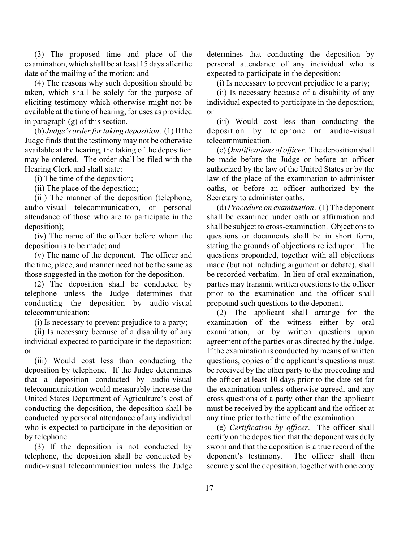(3) The proposed time and place of the examination, which shall be at least 15 days after the date of the mailing of the motion; and

(4) The reasons why such deposition should be taken, which shall be solely for the purpose of eliciting testimony which otherwise might not be available at the time of hearing, for uses as provided in paragraph (g) of this section.

(b) *Judge's order for taking deposition*. (1) If the Judge finds that the testimony may not be otherwise available at the hearing, the taking of the deposition may be ordered. The order shall be filed with the Hearing Clerk and shall state:

(i) The time of the deposition;

(ii) The place of the deposition;

(iii) The manner of the deposition (telephone, audio-visual telecommunication, or personal attendance of those who are to participate in the deposition);

(iv) The name of the officer before whom the deposition is to be made; and

(v) The name of the deponent. The officer and the time, place, and manner need not be the same as those suggested in the motion for the deposition.

(2) The deposition shall be conducted by telephone unless the Judge determines that conducting the deposition by audio-visual telecommunication:

(i) Is necessary to prevent prejudice to a party;

(ii) Is necessary because of a disability of any individual expected to participate in the deposition; or

(iii) Would cost less than conducting the deposition by telephone. If the Judge determines that a deposition conducted by audio-visual telecommunication would measurably increase the United States Department of Agriculture's cost of conducting the deposition, the deposition shall be conducted by personal attendance of any individual who is expected to participate in the deposition or by telephone.

(3) If the deposition is not conducted by telephone, the deposition shall be conducted by audio-visual telecommunication unless the Judge determines that conducting the deposition by personal attendance of any individual who is expected to participate in the deposition:

(i) Is necessary to prevent prejudice to a party;

(ii) Is necessary because of a disability of any individual expected to participate in the deposition; or

(iii) Would cost less than conducting the deposition by telephone or audio-visual telecommunication.

(c) *Qualifications of officer*. The deposition shall be made before the Judge or before an officer authorized by the law of the United States or by the law of the place of the examination to administer oaths, or before an officer authorized by the Secretary to administer oaths.

(d) *Procedure on examination*. (1) The deponent shall be examined under oath or affirmation and shall be subject to cross-examination. Objections to questions or documents shall be in short form, stating the grounds of objections relied upon. The questions proponded, together with all objections made (but not including argument or debate), shall be recorded verbatim. In lieu of oral examination, parties may transmit written questions to the officer prior to the examination and the officer shall propound such questions to the deponent.

(2) The applicant shall arrange for the examination of the witness either by oral examination, or by written questions upon agreement of the parties or as directed by the Judge. If the examination is conducted by means of written questions, copies of the applicant's questions must be received by the other party to the proceeding and the officer at least 10 days prior to the date set for the examination unless otherwise agreed, and any cross questions of a party other than the applicant must be received by the applicant and the officer at any time prior to the time of the examination.

(e) *Certification by officer*. The officer shall certify on the deposition that the deponent was duly sworn and that the deposition is a true record of the deponent's testimony. The officer shall then securely seal the deposition, together with one copy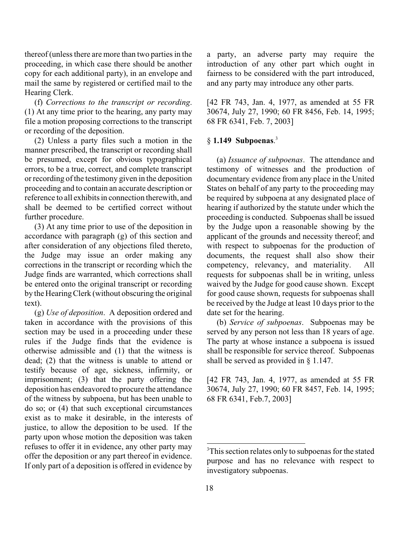thereof (unless there are more than two parties in the proceeding, in which case there should be another copy for each additional party), in an envelope and mail the same by registered or certified mail to the Hearing Clerk.

(f) *Corrections to the transcript or recording*. (1) At any time prior to the hearing, any party may file a motion proposing corrections to the transcript or recording of the deposition.

(2) Unless a party files such a motion in the manner prescribed, the transcript or recording shall be presumed, except for obvious typographical errors, to be a true, correct, and complete transcript or recording of the testimony given in the deposition proceeding and to contain an accurate description or reference to all exhibits in connection therewith, and shall be deemed to be certified correct without further procedure.

(3) At any time prior to use of the deposition in accordance with paragraph (g) of this section and after consideration of any objections filed thereto, the Judge may issue an order making any corrections in the transcript or recording which the Judge finds are warranted, which corrections shall be entered onto the original transcript or recording by the Hearing Clerk (without obscuring the original text).

(g) *Use of deposition*. A deposition ordered and taken in accordance with the provisions of this section may be used in a proceeding under these rules if the Judge finds that the evidence is otherwise admissible and (1) that the witness is dead; (2) that the witness is unable to attend or testify because of age, sickness, infirmity, or imprisonment; (3) that the party offering the deposition has endeavored to procure the attendance of the witness by subpoena, but has been unable to do so; or (4) that such exceptional circumstances exist as to make it desirable, in the interests of justice, to allow the deposition to be used. If the party upon whose motion the deposition was taken refuses to offer it in evidence, any other party may offer the deposition or any part thereof in evidence. If only part of a deposition is offered in evidence by

a party, an adverse party may require the introduction of any other part which ought in fairness to be considered with the part introduced, and any party may introduce any other parts.

[42 FR 743, Jan. 4, 1977, as amended at 55 FR 30674, July 27, 1990; 60 FR 8456, Feb. 14, 1995; 68 FR 6341, Feb. 7, 2003]

# § **1.149 Subpoenas**. 3

(a) *Issuance of subpoenas*. The attendance and testimony of witnesses and the production of documentary evidence from any place in the United States on behalf of any party to the proceeding may be required by subpoena at any designated place of hearing if authorized by the statute under which the proceeding is conducted. Subpoenas shall be issued by the Judge upon a reasonable showing by the applicant of the grounds and necessity thereof; and with respect to subpoenas for the production of documents, the request shall also show their competency, relevancy, and materiality. All requests for subpoenas shall be in writing, unless waived by the Judge for good cause shown. Except for good cause shown, requests for subpoenas shall be received by the Judge at least 10 days prior to the date set for the hearing.

(b) *Service of subpoenas*. Subpoenas may be served by any person not less than 18 years of age. The party at whose instance a subpoena is issued shall be responsible for service thereof. Subpoenas shall be served as provided in § 1.147.

[42 FR 743, Jan. 4, 1977, as amended at 55 FR 30674, July 27, 1990; 60 FR 8457, Feb. 14, 1995; 68 FR 6341, Feb.7, 2003]

<sup>&</sup>lt;sup>3</sup>This section relates only to subpoenas for the stated purpose and has no relevance with respect to investigatory subpoenas.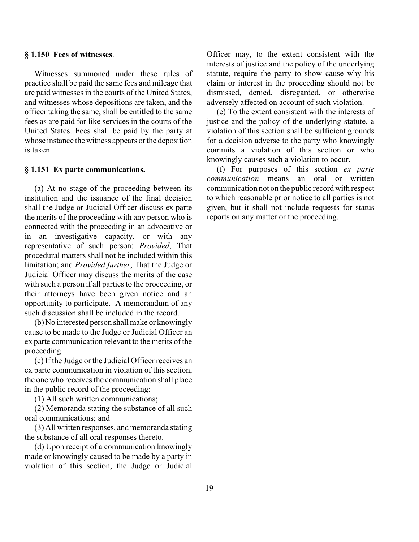## **§ 1.150 Fees of witnesses**.

Witnesses summoned under these rules of practice shall be paid the same fees and mileage that are paid witnesses in the courts of the United States, and witnesses whose depositions are taken, and the officer taking the same, shall be entitled to the same fees as are paid for like services in the courts of the United States. Fees shall be paid by the party at whose instance the witness appears or the deposition is taken.

#### **§ 1.151 Ex parte communications.**

(a) At no stage of the proceeding between its institution and the issuance of the final decision shall the Judge or Judicial Officer discuss ex parte the merits of the proceeding with any person who is connected with the proceeding in an advocative or in an investigative capacity, or with any representative of such person: *Provided*, That procedural matters shall not be included within this limitation; and *Provided further*, That the Judge or Judicial Officer may discuss the merits of the case with such a person if all parties to the proceeding, or their attorneys have been given notice and an opportunity to participate. A memorandum of any such discussion shall be included in the record.

(b) No interested person shall make or knowingly cause to be made to the Judge or Judicial Officer an ex parte communication relevant to the merits of the proceeding.

(c) If the Judge or the Judicial Officer receives an ex parte communication in violation of this section, the one who receives the communication shall place in the public record of the proceeding:

(1) All such written communications;

(2) Memoranda stating the substance of all such oral communications; and

(3) All written responses, and memoranda stating the substance of all oral responses thereto.

(d) Upon receipt of a communication knowingly made or knowingly caused to be made by a party in violation of this section, the Judge or Judicial Officer may, to the extent consistent with the interests of justice and the policy of the underlying statute, require the party to show cause why his claim or interest in the proceeding should not be dismissed, denied, disregarded, or otherwise adversely affected on account of such violation.

(e) To the extent consistent with the interests of justice and the policy of the underlying statute, a violation of this section shall be sufficient grounds for a decision adverse to the party who knowingly commits a violation of this section or who knowingly causes such a violation to occur.

(f) For purposes of this section *ex parte communication* means an oral or written communication not on the public record with respect to which reasonable prior notice to all parties is not given, but it shall not include requests for status reports on any matter or the proceeding.

\_\_\_\_\_\_\_\_\_\_\_\_\_\_\_\_\_\_\_\_\_\_\_\_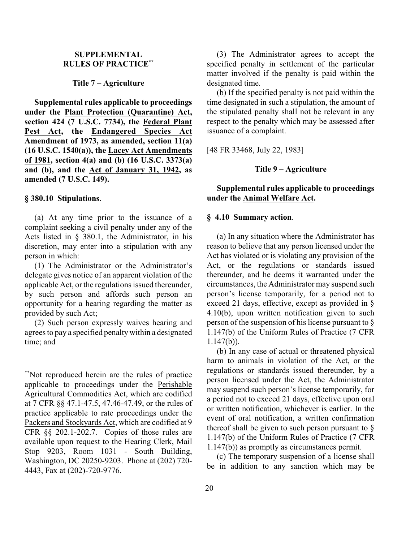# **SUPPLEMENTAL RULES OF PRACTICE \*\***

#### **Title 7 – Agriculture**

**Supplemental rules applicable to proceedings under the Plant Protection (Quarantine) Act, section 424 (7 U.S.C. 7734), the Federal Plant Pest Act, the Endangered Species Act Amendment of 1973, as amended, section 11(a) (16 U.S.C. 1540(a)), the Lacey Act Amendments of 1981, section 4(a) and (b) (16 U.S.C. 3373(a) and (b), and the Act of January 31, 1942, as amended (7 U.S.C. 149).**

#### **§ 380.10 Stipulations**.

(a) At any time prior to the issuance of a complaint seeking a civil penalty under any of the Acts listed in § 380.1, the Administrator, in his discretion, may enter into a stipulation with any person in which:

(1) The Administrator or the Administrator's delegate gives notice of an apparent violation of the applicable Act, or the regulations issued thereunder, by such person and affords such person an opportunity for a hearing regarding the matter as provided by such Act;

(2) Such person expressly waives hearing and agrees to pay a specified penalty within a designated time; and

(3) The Administrator agrees to accept the specified penalty in settlement of the particular matter involved if the penalty is paid within the designated time.

(b) If the specified penalty is not paid within the time designated in such a stipulation, the amount of the stipulated penalty shall not be relevant in any respect to the penalty which may be assessed after issuance of a complaint.

[48 FR 33468, July 22, 1983]

# **Title 9 – Agriculture**

# **Supplemental rules applicable to proceedings under the Animal Welfare Act.**

#### **§ 4.10 Summary action**.

(a) In any situation where the Administrator has reason to believe that any person licensed under the Act has violated or is violating any provision of the Act, or the regulations or standards issued thereunder, and he deems it warranted under the circumstances, the Administrator may suspend such person's license temporarily, for a period not to exceed 21 days, effective, except as provided in § 4.10(b), upon written notification given to such person of the suspension of his license pursuant to § 1.147(b) of the Uniform Rules of Practice (7 CFR 1.147(b)).

(b) In any case of actual or threatened physical harm to animals in violation of the Act, or the regulations or standards issued thereunder, by a person licensed under the Act, the Administrator may suspend such person's license temporarily, for a period not to exceed 21 days, effective upon oral or written notification, whichever is earlier. In the event of oral notification, a written confirmation thereof shall be given to such person pursuant to  $\S$ 1.147(b) of the Uniform Rules of Practice (7 CFR 1.147(b)) as promptly as circumstances permit.

(c) The temporary suspension of a license shall be in addition to any sanction which may be

<sup>\*\*</sup>Not reproduced herein are the rules of practice applicable to proceedings under the Perishable Agricultural Commodities Act, which are codified at 7 CFR §§ 47.1-47.5, 47.46-47.49, or the rules of practice applicable to rate proceedings under the Packers and Stockyards Act, which are codified at 9 CFR §§ 202.1-202.7. Copies of those rules are available upon request to the Hearing Clerk, Mail Stop 9203, Room 1031 - South Building, Washington, DC 20250-9203. Phone at (202) 720- 4443, Fax at (202)-720-9776.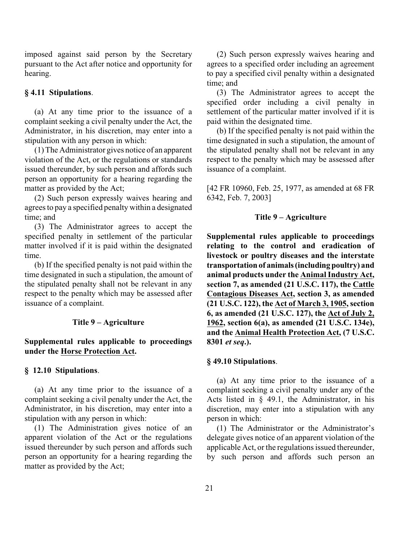imposed against said person by the Secretary pursuant to the Act after notice and opportunity for hearing.

#### **§ 4.11 Stipulations**.

(a) At any time prior to the issuance of a complaint seeking a civil penalty under the Act, the Administrator, in his discretion, may enter into a stipulation with any person in which:

(1) The Administrator gives notice of an apparent violation of the Act, or the regulations or standards issued thereunder, by such person and affords such person an opportunity for a hearing regarding the matter as provided by the Act;

(2) Such person expressly waives hearing and agrees to pay a specified penalty within a designated time; and

(3) The Administrator agrees to accept the specified penalty in settlement of the particular matter involved if it is paid within the designated time.

(b) If the specified penalty is not paid within the time designated in such a stipulation, the amount of the stipulated penalty shall not be relevant in any respect to the penalty which may be assessed after issuance of a complaint.

## **Title 9 – Agriculture**

# **Supplemental rules applicable to proceedings under the Horse Protection Act.**

#### **§ 12.10 Stipulations**.

(a) At any time prior to the issuance of a complaint seeking a civil penalty under the Act, the Administrator, in his discretion, may enter into a stipulation with any person in which:

(1) The Administration gives notice of an apparent violation of the Act or the regulations issued thereunder by such person and affords such person an opportunity for a hearing regarding the matter as provided by the Act;

(2) Such person expressly waives hearing and agrees to a specified order including an agreement to pay a specified civil penalty within a designated time; and

(3) The Administrator agrees to accept the specified order including a civil penalty in settlement of the particular matter involved if it is paid within the designated time.

(b) If the specified penalty is not paid within the time designated in such a stipulation, the amount of the stipulated penalty shall not be relevant in any respect to the penalty which may be assessed after issuance of a complaint.

[42 FR 10960, Feb. 25, 1977, as amended at 68 FR 6342, Feb. 7, 2003]

#### **Title 9 – Agriculture**

**Supplemental rules applicable to proceedings relating to the control and eradication of livestock or poultry diseases and the interstate transportation of animals (including poultry) and animal products under the Animal Industry Act, section 7, as amended (21 U.S.C. 117), the Cattle Contagious Diseases Act, section 3, as amended (21 U.S.C. 122), the Act of March 3, 1905, section 6, as amended (21 U.S.C. 127), the Act of July 2, 1962, section 6(a), as amended (21 U.S.C. 134e), and the Animal Health Protection Act, (7 U.S.C. 8301** *et seq***.).**

## **§ 49.10 Stipulations**.

(a) At any time prior to the issuance of a complaint seeking a civil penalty under any of the Acts listed in  $\frac{1}{2}$  49.1, the Administrator, in his discretion, may enter into a stipulation with any person in which:

(1) The Administrator or the Administrator's delegate gives notice of an apparent violation of the applicable Act, or the regulations issued thereunder, by such person and affords such person an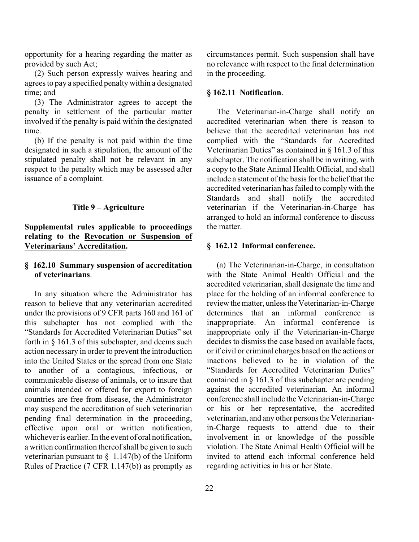opportunity for a hearing regarding the matter as provided by such Act;

(2) Such person expressly waives hearing and agrees to pay a specified penalty within a designated time; and

(3) The Administrator agrees to accept the penalty in settlement of the particular matter involved if the penalty is paid within the designated time.

(b) If the penalty is not paid within the time designated in such a stipulation, the amount of the stipulated penalty shall not be relevant in any respect to the penalty which may be assessed after issuance of a complaint.

## **Title 9 – Agriculture**

# **Supplemental rules applicable to proceedings relating to the Revocation or Suspension of Veterinarians' Accreditation.**

# **§ 162.10 Summary suspension of accreditation of veterinarians**.

In any situation where the Administrator has reason to believe that any veterinarian accredited under the provisions of 9 CFR parts 160 and 161 of this subchapter has not complied with the "Standards for Accredited Veterinarian Duties" set forth in § 161.3 of this subchapter, and deems such action necessary in order to prevent the introduction into the United States or the spread from one State to another of a contagious, infectious, or communicable disease of animals, or to insure that animals intended or offered for export to foreign countries are free from disease, the Administrator may suspend the accreditation of such veterinarian pending final determination in the proceeding, effective upon oral or written notification, whichever is earlier. In the event of oral notification, a written confirmation thereof shall be given to such veterinarian pursuant to  $\frac{1.147(b)}{b}$  of the Uniform Rules of Practice (7 CFR 1.147(b)) as promptly as

circumstances permit. Such suspension shall have no relevance with respect to the final determination in the proceeding.

#### **§ 162.11 Notification**.

The Veterinarian-in-Charge shall notify an accredited veterinarian when there is reason to believe that the accredited veterinarian has not complied with the "Standards for Accredited Veterinarian Duties" as contained in § 161.3 of this subchapter. The notification shall be in writing, with a copy to the State Animal Health Official, and shall include a statement of the basis for the belief that the accredited veterinarian has failed to comply with the Standards and shall notify the accredited veterinarian if the Veterinarian-in-Charge has arranged to hold an informal conference to discuss the matter.

## **§ 162.12 Informal conference.**

(a) The Veterinarian-in-Charge, in consultation with the State Animal Health Official and the accredited veterinarian, shall designate the time and place for the holding of an informal conference to review the matter, unless the Veterinarian-in-Charge determines that an informal conference is inappropriate. An informal conference is inappropriate only if the Veterinarian-in-Charge decides to dismiss the case based on available facts, or if civil or criminal charges based on the actions or inactions believed to be in violation of the "Standards for Accredited Veterinarian Duties" contained in § 161.3 of this subchapter are pending against the accredited veterinarian. An informal conference shall include the Veterinarian-in-Charge or his or her representative, the accredited veterinarian, and any other persons the Veterinarianin-Charge requests to attend due to their involvement in or knowledge of the possible violation. The State Animal Health Official will be invited to attend each informal conference held regarding activities in his or her State.